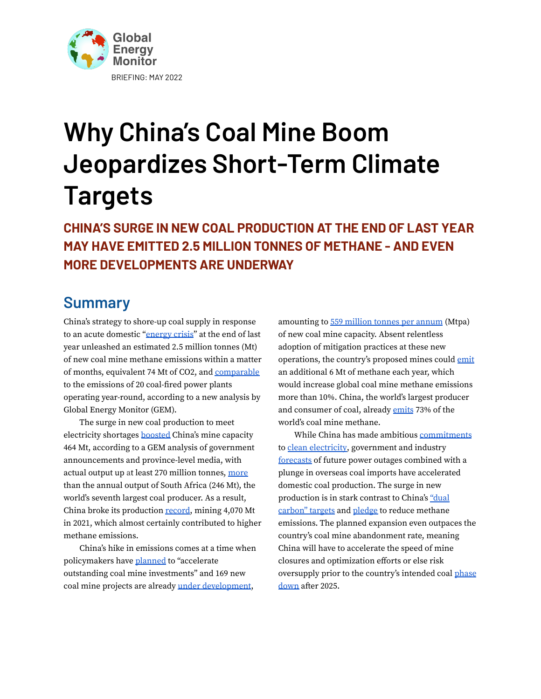

# **Why China's Coal Mine Boom Jeopardizes Short-Term Climate Targets**

**CHINA'S SURGE IN NEW COAL PRODUCTION AT THE END OF LAST YEAR MAY HAVE EMITTED 2.5 MILLION TONNES OF METHANE - AND EVEN MORE DEVELOPMENTS ARE UNDERWAY**

### **Summary**

China's strategy to shore-up coal supply in response to an acute domestic ["energy](https://www.ft.com/content/263b9416-0238-4347-a0c8-65fc8fd41e47) crisis" at the end of last year unleashed an estimated 2.5 million tonnes (Mt) of new coal mine methane emissions within a matter of months, equivalent 74 Mt of CO2, and [comparable](https://www.epa.gov/energy/greenhouse-gas-equivalencies-calculator#results) to the emissions of 20 coal-fired power plants operating year-round, according to a new analysis by Global Energy Monitor (GEM).

The surge in new coal production to meet electricity shortages [boosted](http://www.cpnn.com.cn/news/hy/202201/t20220119_1476573_wap.html) China's mine capacity 464 Mt, according to a GEM analysis of government announcements and province-level media, with actual output up at least 270 million tonnes, [more](https://www.iea.org/data-and-statistics/charts/global-coal-production-2018-2021) than the annual output of South Africa (246 Mt), the world's seventh largest coal producer. As a result, China broke its production [record](https://www.cnn.com/2022/01/19/business/china-coal-production-record-intl-hnk/index.html), mining 4,070 Mt in 2021, which almost certainly contributed to higher methane emissions.

China's hike in emissions comes at a time when policymakers have [planned](https://cleanenergynews.ihsmarkit.com/research-analysis/china-seeks-to-perform-balancing-act-with-latest-national-ener.html) to "accelerate outstanding coal mine investments" and 169 new coal mine projects are already under [development](https://docs.google.com/spreadsheets/d/1SXo_AnZ8kRzSL9EuehrrDaj6NCL6X-QsrUlkSVrOcUw/edit#gid=0),

amounting to 559 [million](https://docs.google.com/spreadsheets/d/1m0YFRpI7vM_RgVuogagCjyNVk8zJr5ayBi2niBP-J1Q/edit#gid=0) tonnes per annum (Mtpa) of new coal mine capacity. Absent relentless adoption of mitigation practices at these new operations, the country's proposed mines could [emit](https://globalenergymonitor.org/wp-content/uploads/2022/03/GEM_CCM2022_r4.pdf) an additional 6 Mt of methane each year, which would increase global coal mine methane emissions more than 10%. China, the world's largest producer and consumer of coal, already [emits](https://globalenergymonitor.org/wp-content/uploads/2022/03/GEM_CCM2022_r4.pdf) 73% of the world's coal mine methane.

While China has made ambitious [commitments](https://digichina.stanford.edu/work/translation-14th-five-year-plan-for-national-informatization-dec-2021/) to clean [electricity,](https://www.bloomberg.com/news/articles/2022-04-15/china-s-top-planner-sees-record-wind-and-solar-additions-in-2022) government and industry [forecasts](https://www.bloomberg.com/news/articles/2022-04-14/china-s-coal-sector-raises-alarm-over-potential-for-more-outages) of future power outages combined with a plunge in overseas coal imports have accelerated domestic coal production. The surge in new production is in stark contrast to China's ["dual](https://www.carbonbrief.org/analysis-what-does-chinas-coal-push-mean-for-its-climate-goals) [carbon"](https://www.carbonbrief.org/analysis-what-does-chinas-coal-push-mean-for-its-climate-goals) targets and [pledge](https://www.state.gov/u-s-china-joint-glasgow-declaration-on-enhancing-climate-action-in-the-2020s/) to reduce methane emissions. The planned expansion even outpaces the country's coal mine abandonment rate, meaning China will have to accelerate the speed of mine closures and optimization efforts or else risk oversupply prior to the country's intended coal [phase](https://digichina.stanford.edu/work/translation-14th-five-year-plan-for-national-informatization-dec-2021/) [down](https://digichina.stanford.edu/work/translation-14th-five-year-plan-for-national-informatization-dec-2021/) after 2025.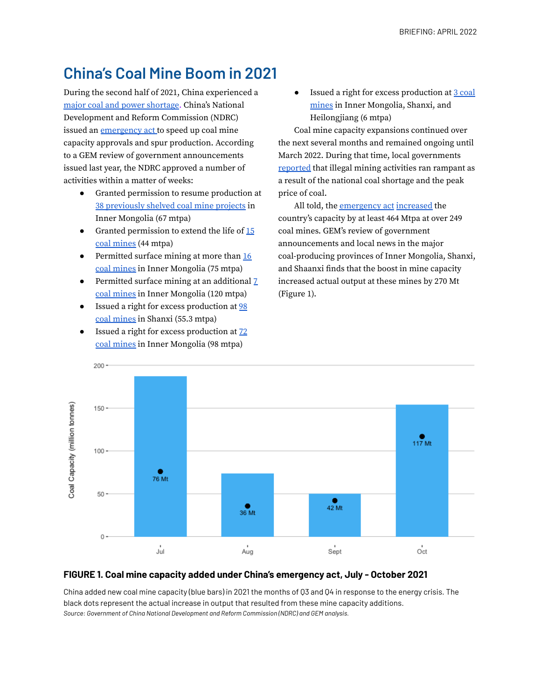# **China's Coal Mine Boom in 2021**

During the second half of 2021, China experienced a major coal and power [shortage.](https://pdf.dfcfw.com/pdf/H3_AP202111251531068113_1.pdf?1637865243000.pdf) China's National Development and Reform Commission (NDRC) issued an [emergency](https://www.cctd.com.cn/show-26-216343-1.html) act to speed up coal mine capacity approvals and spur production. According to a GEM review of government announcements issued last year, the NDRC approved a number of activities within a matter of weeks:

- Granted permission to resume production at 38 [previously](https://coal.in-en.com/html/coal-2603922.shtml) shelved coal mine projects in Inner Mongolia (67 mtpa)
- Granted permission to extend the life of [15](https://www.ndrc.gov.cn/fzggw/jgsj/yxj/sjdt/202108/t20210804_1293147.html) coal [mines](https://www.ndrc.gov.cn/fzggw/jgsj/yxj/sjdt/202108/t20210804_1293147.html) (44 mtpa)
- Permitted surface mining at more than [16](https://www.ndrc.gov.cn/fzggw/jgsj/yxj/sjdt/202108/t20210825_1294605.html?code=&state=123) coal [mines](https://www.ndrc.gov.cn/fzggw/jgsj/yxj/sjdt/202108/t20210825_1294605.html?code=&state=123) in Inner Mongolia (75 mtpa)
- Permitted surface mining at an additional  $\overline{Z}$ coal [mines](https://www.ndrc.gov.cn/fzggw/jgsj/yxj/sjdt/202108/t20210811_1293469_ext.html) in Inner Mongolia (120 mtpa)
- Issued a right for excess production at [98](https://cn.reuters.com/article/shanxi-coal-mine-production-1008-idCNKBS2GY0Z8) coal [mines](https://cn.reuters.com/article/shanxi-coal-mine-production-1008-idCNKBS2GY0Z8) in Shanxi (55.3 mtpa)
- Issued a right for excess production at  $72$ coal [mines](https://finance.sina.com.cn/tech/2021-10-08/doc-iktzscyx8459077.shtml#:~:text=%E3%80%8A%E9%80%9A%E7%9F%A5%E3%80%8B%E8%A6%81%E6%B1%82%EF%BC%8C%E7%9B%B8%E5%85%B3%E9%83%A8%E9%97%A8,%E5%A2%9E%E4%BA%A7%E8%83%BD9835%E4%B8%87%E5%90%A8%E3%80%82) in Inner Mongolia (98 mtpa)

● Issued a right for excess production at 3 [coal](https://finance.sina.com.cn/stock/relnews/cn/2021-08-16/doc-ikqcfncc3123826.shtml) [mines](https://finance.sina.com.cn/stock/relnews/cn/2021-08-16/doc-ikqcfncc3123826.shtml) in Inner Mongolia, Shanxi, and Heilongjiang (6 mtpa)

Coal mine capacity expansions continued over the next several months and remained ongoing until March 2022. During that time, local governments [reported](https://www.bloomberg.com/news/articles/2021-10-01/china-s-coal-miners-told-to-produce-even-if-they-re-over-quotas) that illegal mining activities ran rampant as a result of the national coal shortage and the peak price of coal.

All told, the [emergency](https://www-cctd-com-cn.translate.goog/show-26-216343-1.html?_x_tr_sl=zh-CN&_x_tr_tl=en&_x_tr_hl=en&_x_tr_pto=wapp) act [increased](http://www.cpnn.com.cn/news/hy/202201/t20220119_1476573_wap.html) the country's capacity by at least 464 Mtpa at over 249 coal mines. GEM's review of government announcements and local news in the major coal-producing provinces of Inner Mongolia, Shanxi, and Shaanxi finds that the boost in mine capacity increased actual output at these mines by 270 Mt (Figure 1).



#### **FIGURE 1. Coal mine capacity added under China's emergency act, July - October 2021**

China added new coal mine capacity (blue bars) in 2021 the months of Q3 and Q4 in response to the energy crisis. The black dots represent the actual increase in output that resulted from these mine capacity additions. *Source: Government of China National Development and Reform Commission (NDRC) and GEM analysis.*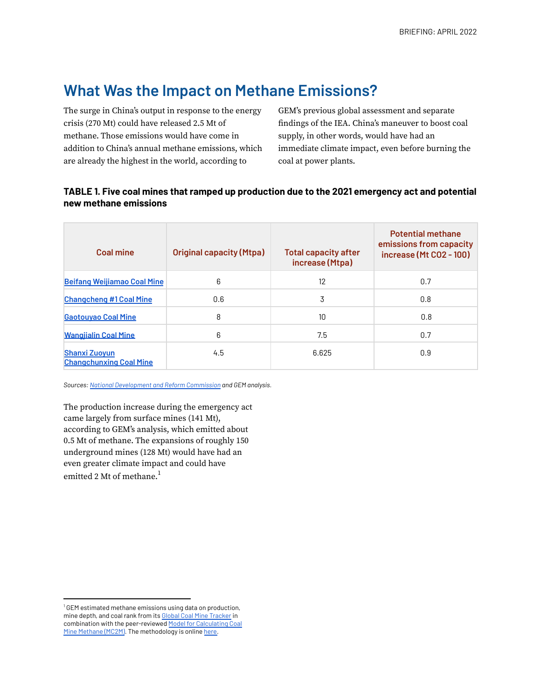### **What Was the Impact on Methane Emissions?**

The surge in China's output in response to the energy crisis (270 Mt) could have released 2.5 Mt of methane. Those emissions would have come in addition to China's annual methane emissions, which are already the highest in the world, according to

GEM's previous global assessment and separate findings of the IEA. China's maneuver to boost coal supply, in other words, would have had an immediate climate impact, even before burning the coal at power plants.

#### **TABLE 1. Five coal mines that ramped up production due to the 2021 emergency act and potential new methane emissions**

| <b>Coal mine</b>                                       | <b>Original capacity (Mtpa)</b> | <b>Total capacity after</b><br>increase (Mtpa) | <b>Potential methane</b><br>emissions from capacity<br>increase (Mt CO2 - 100) |
|--------------------------------------------------------|---------------------------------|------------------------------------------------|--------------------------------------------------------------------------------|
| <b>Beifang Weijiamao Coal Mine</b>                     | 6                               | 12                                             | 0.7                                                                            |
| <b>Changcheng #1 Coal Mine</b>                         | 0.6                             | 3                                              | 0.8                                                                            |
| <b>Gaotouyao Coal Mine</b>                             | 8                               | 10                                             | 0.8                                                                            |
| <b>Wangiialin Coal Mine</b>                            | 6                               | 7.5                                            | 0.7                                                                            |
| <b>Shanxi Zuoyun</b><br><b>Changchunxing Coal Mine</b> | 4.5                             | 6.625                                          | 0.9                                                                            |

*Sources: National [Development](https://www.sohu.com/a/494631028_222256) and Reform Commission and GEM analysis.*

The production increase during the emergency act came largely from surface mines (141 Mt), according to GEM's analysis, which emitted about 0.5 Mt of methane. The expansions of roughly 150 underground mines (128 Mt) would have had an even greater climate impact and could have emitted 2 Mt of methane. $^{\mathrm{1}}$ 

<sup>1</sup> GEM estimated methane emissions using data on production, mine depth, and coal rank from its [Global Coal Mine](https://globalenergymonitor.org/projects/global-coal-mine-tracker/) Tracker in combination with the peer-reviewed [Model for Calculating](https://www.sciencedirect.com/science/article/pii/S0959652620305369) Coal [Mine Methane \(MC2M\)](https://www.sciencedirect.com/science/article/pii/S0959652620305369). The methodology is online [here.](https://www.gem.wiki/Estimating_methane_emissions_from_coal_mines)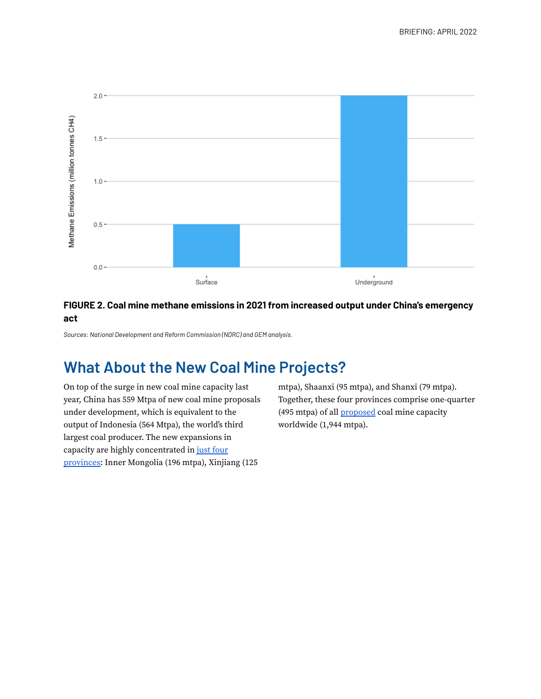

#### **FIGURE 2. Coal mine methane emissions in 2021 from increased output under China's emergency act**

*Sources: National Development and Reform Commission (NDRC) and GEM analysis.*

# **What About the New Coal Mine Projects?**

On top of the surge in new coal mine capacity last year, China has 559 Mtpa of new coal mine proposals under development, which is equivalent to the output of Indonesia (564 Mtpa), the world's third largest coal producer. The new expansions in capacity are highly concentrated in just [four](https://docs.google.com/spreadsheets/d/1S3zba2Nq9olbDBQ1Orw9huQSoSGIeVqcmHP2-1prb7Y/edit#gid=0) [provinces:](https://docs.google.com/spreadsheets/d/1S3zba2Nq9olbDBQ1Orw9huQSoSGIeVqcmHP2-1prb7Y/edit#gid=0) Inner Mongolia (196 mtpa), Xinjiang (125

mtpa), Shaanxi (95 mtpa), and Shanxi (79 mtpa). Together, these four provinces comprise one-quarter (495 mtpa) of all [proposed](https://docs.google.com/spreadsheets/d/1m0YFRpI7vM_RgVuogagCjyNVk8zJr5ayBi2niBP-J1Q/edit#gid=0) coal mine capacity worldwide (1,944 mtpa).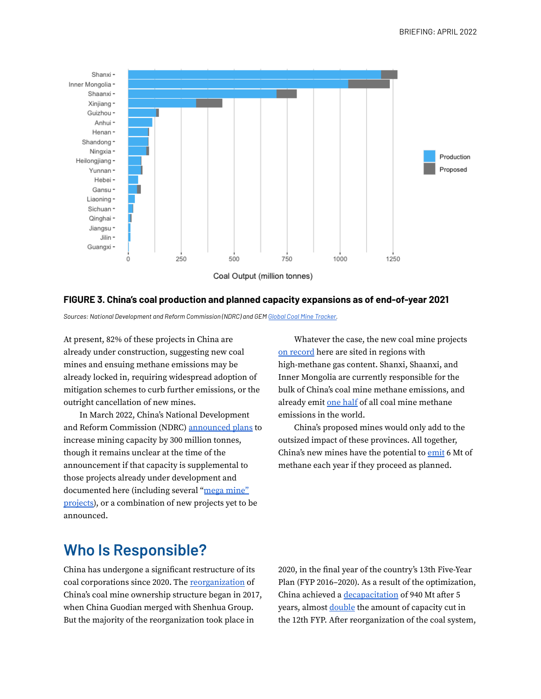

#### **FIGURE 3. China's coal production and planned capacity expansions as of end-of-year 2021**

*Sources: National Development and Reform Commission (NDRC) and GEM Global Coal Mine [Tracker.](https://globalenergymonitor.org/projects/global-coal-mine-tracker/)*

At present, 82% of these projects in China are already under construction, suggesting new coal mines and ensuing methane emissions may be already locked in, requiring widespread adoption of mitigation schemes to curb further emissions, or the outright cancellation of new mines.

In March 2022, China's National Development and Reform Commission (NDRC) [announced](https://www.bloomberg.com/news/articles/2022-03-14/china-seeks-to-cut-coal-import-reliance-with-mining-boom) plans to increase mining capacity by 300 million tonnes, though it remains unclear at the time of the announcement if that capacity is supplemental to those projects already under development and documented here (including several "mega [mine"](https://www.bloomberg.com/news/articles/2022-04-07/china-coal-hub-approves-mega-mine-that-can-produce-for-97-years) [projects\)](https://www.bloomberg.com/news/articles/2022-04-07/china-coal-hub-approves-mega-mine-that-can-produce-for-97-years), or a combination of new projects yet to be announced.

Whatever the case, the new coal mine projects on [record](https://docs.google.com/spreadsheets/d/1S3zba2Nq9olbDBQ1Orw9huQSoSGIeVqcmHP2-1prb7Y/edit) here are sited in regions with high-methane gas content. Shanxi, Shaanxi, and Inner Mongolia are currently responsible for the bulk of China's coal mine methane emissions, and already emit one [half](https://globalenergymonitor.org/report/worse-than-oil-or-gas/) of all coal mine methane emissions in the world.

China's proposed mines would only add to the outsized impact of these provinces. All together, China's new mines have the potential to [emit](https://docs.google.com/spreadsheets/d/18XkCB1zwsR1QOlhyd5-OQExj9nS60vOaKnayJqma2YY/edit#gid=0) 6 Mt of methane each year if they proceed as planned.

## **Who Is Responsible?**

China has undergone a significant restructure of its coal corporations since 2020. The [reorganization](https://www.cs.com.cn/xwzx/bignews2017/201711/171120_73058/) of China's coal mine ownership structure began in 2017, when China Guodian merged with Shenhua Group. But the majority of the reorganization took place in

2020, in the final year of the country's 13th Five-Year Plan (FYP 2016–2020). As a result of the optimization, China achieved a [decapacitation](http://www.inengyuan.com/yuanchuang/4513.html) of 940 Mt after 5 years, almost [double](https://www.shine.cn/archive/article/article_xinhua.aspx?id=317304) the amount of capacity cut in the 12th FYP. After reorganization of the coal system,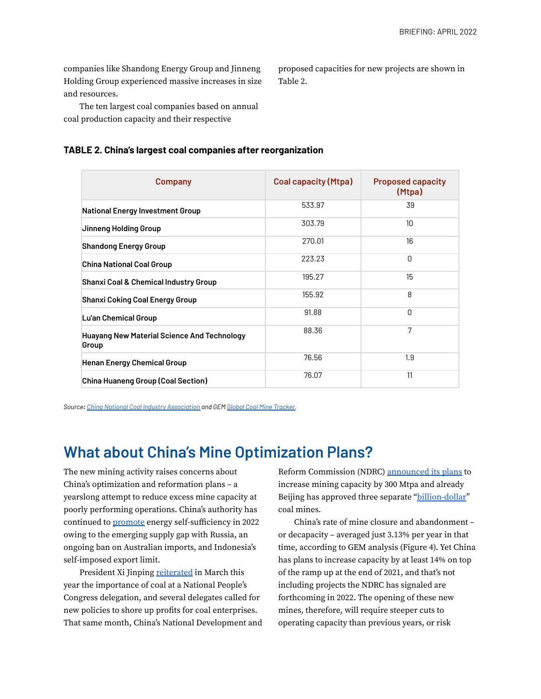companies like Shandong Energy Group and Jinneng Holding Group experienced massive increases in size and resources.

proposed capacities for new projects are shown in Table 2.

The ten largest coal companies based on annual coal production capacity and their respective

#### **TABLE 2. China's largest coal companies after reorganization**

| <b>Company</b>                                              | <b>Coal capacity (Mtpa)</b> | <b>Proposed capacity</b><br>(Mtpa) |
|-------------------------------------------------------------|-----------------------------|------------------------------------|
| <b>National Energy Investment Group</b>                     | 533.97                      | 39                                 |
| Jinneng Holding Group                                       | 303.79                      | 10 <sup>1</sup>                    |
| <b>Shandong Energy Group</b>                                | 270.01                      | 16                                 |
| <b>China National Coal Group</b>                            | 223.23                      | 0                                  |
| <b>Shanxi Coal &amp; Chemical Industry Group</b>            | 195.27                      | 15                                 |
| <b>Shanxi Coking Coal Energy Group</b>                      | 155.92                      | 8                                  |
| Lu'an Chemical Group                                        | 91.88                       | $\Omega$                           |
| <b>Huayang New Material Science And Technology</b><br>Group | 88.36                       | 7                                  |
| <b>Henan Energy Chemical Group</b>                          | 76.56                       | 1.9                                |
| China Huaneng Group (Coal Section)                          | 76.07                       | 11                                 |

*Source: China National Coal Industry [Association](https://new.qq.com/omn/20210823/20210823A09FI500.html) and GEM Global Coal Mine [Tracker.](https://globalenergymonitor.org/projects/global-coal-mine-tracker/)*

### **What about China's Mine Optimization Plans?**

The new mining activity raises concerns about China's optimization and reformation plans – a yearslong attempt to reduce excess mine capacity at poorly performing operations. China's authority has continued to [promote](https://www.reuters.com/business/chinas-russian-coal-purchases-stall-buyers-struggle-secure-financing-2022-03-01/) energy self-sufficiency in 2022 owing to the emerging supply gap with Russia, an ongoing ban on Australian imports, and Indonesia's self-imposed export limit.

President Xi Jinping [reiterated](https://www.carbonbrief.org/analysis-what-does-chinas-coal-push-mean-for-its-climate-goals) in March this year the importance of coal at a National People's Congress delegation, and several delegates called for new policies to shore up profits for coal enterprises. That same month, China's National Development and Reform Commission (NDRC) [announced](https://www.bloomberg.com/news/articles/2022-03-14/china-seeks-to-cut-coal-import-reliance-with-mining-boom) its plans to increase mining capacity by 300 Mtpa and already Beijing has approved three separate ["billion-dollar"](https://www.bloomberg.com/news/articles/2022-02-21/china-signals-coal-reliance-to-continue-with-three-new-mines) coal mines.

China's rate of mine closure and abandonment – or decapacity – averaged just 3.13% per year in that time, according to GEM analysis (Figure 4). Yet China has plans to increase capacity by at least 14% on top of the ramp up at the end of 2021, and that's not including projects the NDRC has signaled are forthcoming in 2022. The opening of these new mines, therefore, will require steeper cuts to operating capacity than previous years, or risk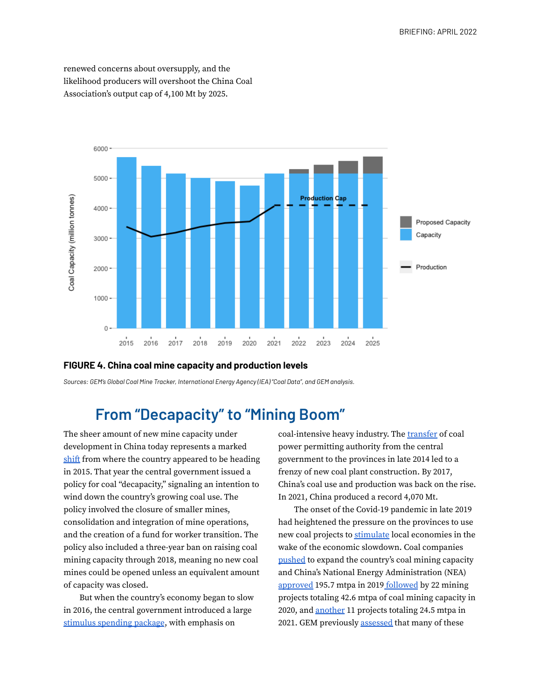renewed concerns about oversupply, and the likelihood producers will overshoot the China Coal Association's output cap of 4,100 Mt by 2025.



#### **FIGURE 4. China coal mine capacity and production levels**

*Sources: GEM's Global Coal Mine Tracker, International Energy Agency (IEA) "Coal Data", and GEM analysis.*

## **From "Decapacity" to "Mining Boom"**

The sheer amount of new mine capacity under development in China today represents a marked [shift](https://globalenergymonitor.org/wp-content/uploads/2021/05/CoalMines_2021_r4.pdf) from where the country appeared to be heading in 2015. That year the central government issued a policy for coal "decapacity," signaling an intention to wind down the country's growing coal use. The policy involved the closure of smaller mines, consolidation and integration of mine operations, and the creation of a fund for worker transition. The policy also included a three-year ban on raising coal mining capacity through 2018, meaning no new coal mines could be opened unless an equivalent amount of capacity was closed.

But when the country's economy began to slow in 2016, the central government introduced a large stimulus [spending](https://www.reuters.com/article/us-china-economy-gdp/steel-stimulus-drive-chinas-strongest-economic-growth-since-2015-idUSKBN17J04E) package, with emphasis on

coal-intensive heavy industry. The [transfer](https://globalenergymonitor.org/report/out-of-step-china-is-driving-the-continued-growth-of-the-global-coal-fleet/) of coal power permitting authority from the central government to the provinces in late 2014 led to a frenzy of new coal plant construction. By 2017, China's coal use and production was back on the rise. In 2021, China produced a record 4,070 Mt.

The onset of the Covid-19 pandemic in late 2019 had heightened the pressure on the provinces to use new coal projects to [stimulate](https://globalenergymonitor.org/wp-content/uploads/2021/01/China-coal-plant-brief-June-2020Eng.pdf) local economies in the wake of the economic slowdown. Coal companies [pushed](https://www.reuters.com/article/china-power-idUSL4N2K82BX) to expand the country's coal mining capacity and China's National Energy Administration (NEA) [approved](http://www.nea.gov.cn/policy/xmsp.htm) 195.7 mtpa in 2019 [followed](https://www.cctd.com.cn/show-42-209815-1.html) by 22 mining projects totaling 42.6 mtpa of coal mining capacity in 2020, and [another](http://www.nea.gov.cn/policy/xmsp.htm) 11 projects totaling 24.5 mtpa in 2021. GEM previously [assessed](https://globalenergymonitor.org/wp-content/uploads/2021/05/CoalMines_2021_r4.pdf) that many of these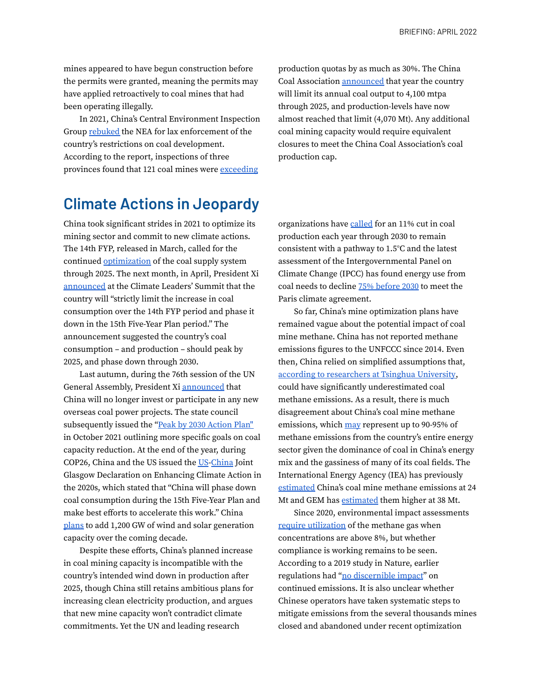BRIEFING: APRIL 2022

mines appeared to have begun construction before the permits were granted, meaning the permits may have applied retroactively to coal mines that had been operating illegally.

In 2021, China's Central Environment Inspection Group [rebuked](https://www.mee.gov.cn/xxgk2018/xxgk/xxgk15/202101/t20210129_819526.html) the NEA for lax enforcement of the country's restrictions on coal development. According to the report, inspections of three provinces found that 121 coal mines were [exceeding](https://www.reuters.com/article/china-environment/china-accuses-energy-agency-of-negligence-of-environmental-protection-idUSL4N2K504Z)

production quotas by as much as 30%. The China Coal Association [announced](http://www.chinadaily.com.cn/a/202103/04/WS60401b45a31024ad0baac8f6.html) that year the country will limit its annual coal output to 4,100 mtpa through 2025, and production-levels have now almost reached that limit (4,070 Mt). Any additional coal mining capacity would require equivalent closures to meet the China Coal Association's coal production cap.

## **Climate Actions in Jeopardy**

China took significant strides in 2021 to optimize its mining sector and commit to new climate actions. The 14th FYP, released in March, called for the continued [optimization](http://www.cpnn.com.cn/news/tdftzh/202107/t20210721_1407760.html) of the coal supply system through 2025. The next month, in April, President Xi [announced](https://www.reuters.com/world/china/chinas-xi-says-china-will-phase-down-coal-consumption-over-2026-2030-2021-04-22/) at the Climate Leaders' Summit that the country will "strictly limit the increase in coal consumption over the 14th FYP period and phase it down in the 15th Five-Year Plan period." The announcement suggested the country's coal consumption – and production – should peak by 2025, and phase down through 2030.

Last autumn, during the 76th session of the UN General Assembly, President Xi [announced](https://article.xuexi.cn/articles/index.html?art_id=4785692887803225949&item_id=4785692887803225949&study_style_id=feeds_default&pid=&ptype=-1&source=share&share_to=wx_single) that China will no longer invest or participate in any new overseas coal power projects. The state council subsequently issued the "Peak by 2030 [Action](http://www.gov.cn/zhengce/content/2021-10/26/content_5644984.htm) Plan'' in October 2021 outlining more specific goals on coal capacity reduction. At the end of the year, during COP26, China and the US issued the [US](https://www.state.gov/u-s-china-joint-glasgow-declaration-on-enhancing-climate-action-in-the-2020s/)[-China](https://www.mee.gov.cn/ywdt/hjywnews/202111/t20211111_959900.shtml) Joint Glasgow Declaration on Enhancing Climate Action in the 2020s, which stated that "China will phase down coal consumption during the 15th Five-Year Plan and make best efforts to accelerate this work." China [plans](https://www.bloomberg.com/news/articles/2022-04-15/china-s-top-planner-sees-record-wind-and-solar-additions-in-2022) to add 1,200 GW of wind and solar generation capacity over the coming decade.

Despite these efforts, China's planned increase in coal mining capacity is incompatible with the country's intended wind down in production after 2025, though China still retains ambitious plans for increasing clean electricity production, and argues that new mine capacity won't contradict climate commitments. Yet the UN and leading research

organizations have [called](https://productiongap.org/2021report/) for an 11% cut in coal production each year through 2030 to remain consistent with a pathway to 1.5°C and the latest assessment of the Intergovernmental Panel on Climate Change (IPCC) has found energy use from coal needs to decline 75% [before](https://www.ipcc.ch/assessment-report/ar6/) 2030 to meet the Paris climate agreement.

So far, China's mine optimization plans have remained vague about the potential impact of coal mine methane. China has not reported methane emissions figures to the UNFCCC since 2014. Even then, China relied on simplified assumptions that, according to [researchers](https://chinadialogue.net/en/climate/how-will-china-control-its-methane-emissions/) at Tsinghua University, could have significantly underestimated coal methane emissions. As a result, there is much disagreement about China's coal mine methane emissions, which [may](https://chinadialogue.net/en/climate/how-will-china-control-its-methane-emissions/) represent up to 90-95% of methane emissions from the country's entire energy sector given the dominance of coal in China's energy mix and the gassiness of many of its coal fields. The International Energy Agency (IEA) has previously [estimated](https://www.iea.org/reports/global-methane-tracker-2022) China's coal mine methane emissions at 24 Mt and GEM has [estimated](https://globalenergymonitor.org/wp-content/uploads/2022/03/GEM_CCM2022_r4.pdf) them higher at 38 Mt.

Since 2020, environmental impact assessments require [utilization](https://iea.blob.core.windows.net/assets/585b901a-e7d2-4bca-b477-e1baa14dde5c/CurtailingMethaneEmissionsfromFossilFuelOperations.pdf) of the methane gas when concentrations are above 8%, but whether compliance is working remains to be seen. According to a 2019 study in Nature, earlier regulations had "no [discernible](https://www.nature.com/articles/s41467-018-07891-7) impact" on continued emissions. It is also unclear whether Chinese operators have taken systematic steps to mitigate emissions from the several thousands mines closed and abandoned under recent optimization